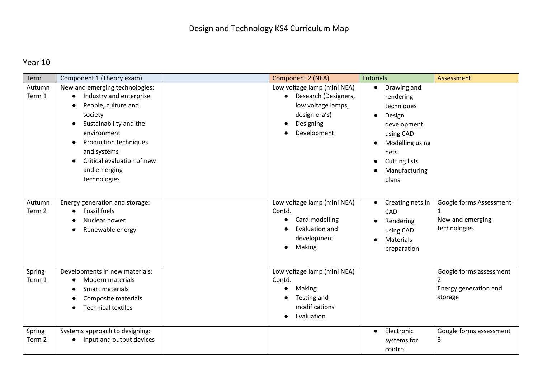## Year 10

| Term                        | Component 1 (Theory exam)                                                                                                                                                                                                                  | <b>Component 2 (NEA)</b>                                                                                               | <b>Tutorials</b>                                                                                                                                                       | Assessment                                                       |
|-----------------------------|--------------------------------------------------------------------------------------------------------------------------------------------------------------------------------------------------------------------------------------------|------------------------------------------------------------------------------------------------------------------------|------------------------------------------------------------------------------------------------------------------------------------------------------------------------|------------------------------------------------------------------|
| Autumn<br>Term 1            | New and emerging technologies:<br>Industry and enterprise<br>People, culture and<br>society<br>Sustainability and the<br>environment<br>Production techniques<br>and systems<br>Critical evaluation of new<br>and emerging<br>technologies | Low voltage lamp (mini NEA)<br>Research (Designers,<br>low voltage lamps,<br>design era's)<br>Designing<br>Development | Drawing and<br>$\bullet$<br>rendering<br>techniques<br>Design<br>development<br>using CAD<br>Modelling using<br>nets<br><b>Cutting lists</b><br>Manufacturing<br>plans |                                                                  |
| Autumn<br>Term <sub>2</sub> | Energy generation and storage:<br>Fossil fuels<br>Nuclear power<br>Renewable energy                                                                                                                                                        | Low voltage lamp (mini NEA)<br>Contd.<br>Card modelling<br>Evaluation and<br>development<br>Making                     | Creating nets in<br>$\bullet$<br>CAD<br>Rendering<br>using CAD<br>Materials<br>preparation                                                                             | Google forms Assessment<br>New and emerging<br>technologies      |
| Spring<br>Term 1            | Developments in new materials:<br>Modern materials<br>Smart materials<br>Composite materials<br><b>Technical textiles</b>                                                                                                                  | Low voltage lamp (mini NEA)<br>Contd.<br>Making<br>Testing and<br>modifications<br>Evaluation                          |                                                                                                                                                                        | Google forms assessment<br>2<br>Energy generation and<br>storage |
| Spring<br>Term <sub>2</sub> | Systems approach to designing:<br>Input and output devices                                                                                                                                                                                 |                                                                                                                        | Electronic<br>$\bullet$<br>systems for<br>control                                                                                                                      | Google forms assessment<br>3                                     |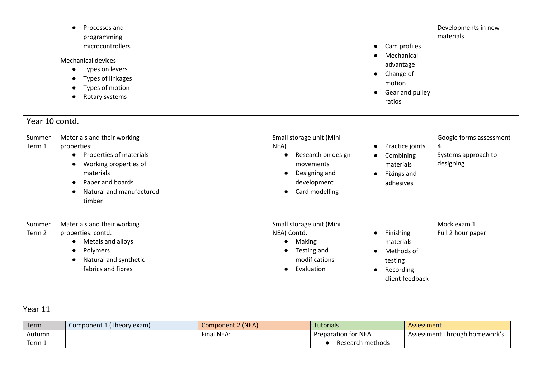| Processes and                                                                                                                                    |                         |                                                                  | Developments in new |
|--------------------------------------------------------------------------------------------------------------------------------------------------|-------------------------|------------------------------------------------------------------|---------------------|
| programming                                                                                                                                      |                         |                                                                  | materials           |
| microcontrollers                                                                                                                                 |                         | Cam profiles<br>$\bullet$                                        |                     |
| <b>Mechanical devices:</b><br>• Types on levers<br>Types of linkages<br>$\bullet$<br>Types of motion<br>$\bullet$<br>Rotary systems<br>$\bullet$ | Mechanical<br>$\bullet$ |                                                                  |                     |
|                                                                                                                                                  |                         | advantage<br>Change of<br>$\bullet$<br>motion<br>Gear and pulley |                     |
|                                                                                                                                                  |                         |                                                                  |                     |
|                                                                                                                                                  |                         |                                                                  |                     |
|                                                                                                                                                  | ratios                  |                                                                  |                     |
|                                                                                                                                                  |                         |                                                                  |                     |

## Year 10 contd.

| Summer<br>Term 1 | Materials and their working<br>properties:<br>Properties of materials<br>Working properties of<br>materials<br>Paper and boards<br>Natural and manufactured<br>timber | Small storage unit (Mini<br>NEA)<br>Research on design<br>$\bullet$<br>movements<br>Designing and<br>$\bullet$<br>development<br>Card modelling<br>$\bullet$ | Practice joints<br>Combining<br>materials<br>Fixings and<br>adhesives                  | Google forms assessment<br>4<br>Systems approach to<br>designing |
|------------------|-----------------------------------------------------------------------------------------------------------------------------------------------------------------------|--------------------------------------------------------------------------------------------------------------------------------------------------------------|----------------------------------------------------------------------------------------|------------------------------------------------------------------|
| Summer<br>Term 2 | Materials and their working<br>properties: contd.<br>Metals and alloys<br>Polymers<br>$\bullet$<br>Natural and synthetic<br>fabrics and fibres                        | Small storage unit (Mini<br>NEA) Contd.<br>Making<br>$\bullet$<br>Testing and<br>$\bullet$<br>modifications<br>Evaluation<br>$\bullet$                       | <b>Finishing</b><br>materials<br>Methods of<br>testing<br>Recording<br>client feedback | Mock exam 1<br>Full 2 hour paper                                 |

## Year 11

| Term             | Component 1 (Theory exam) | <b>Component 2 (NEA)</b> | Tutorials                  | Assessment                    |
|------------------|---------------------------|--------------------------|----------------------------|-------------------------------|
| Autumn           |                           | Final NEA:               | <b>Preparation for NEA</b> | Assessment Through homework's |
| Term $\lrcorner$ |                           |                          | Research methods           |                               |